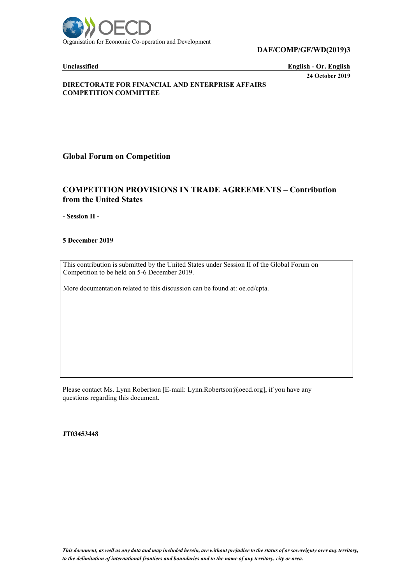

**DAF/COMP/GF/WD(2019)3**

**Unclassified English - Or. English 24 October 2019**

## **DIRECTORATE FOR FINANCIAL AND ENTERPRISE AFFAIRS COMPETITION COMMITTEE**

**Global Forum on Competition**

## **COMPETITION PROVISIONS IN TRADE AGREEMENTS – Contribution from the United States**

**- Session II -**

**5 December 2019**

This contribution is submitted by the United States under Session II of the Global Forum on Competition to be held on 5-6 December 2019.

More documentation related to this discussion can be found at: oe.cd/cpta.

Please contact Ms. Lynn Robertson [E-mail: Lynn.Robertson@oecd.org], if you have any questions regarding this document.

**JT03453448**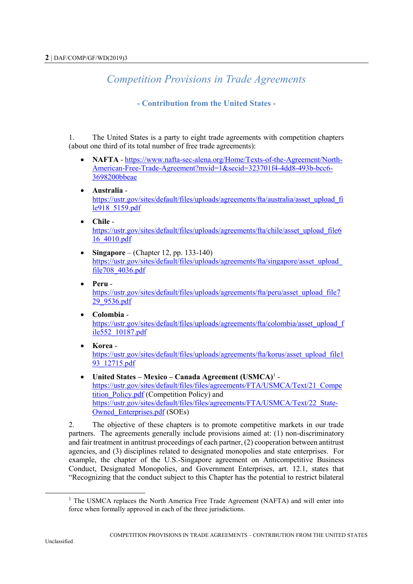## *Competition Provisions in Trade Agreements*

## **- Contribution from the United States -**

1. The United States is a party to eight trade agreements with competition chapters (about one third of its total number of free trade agreements):

- **NAFTA**  [https://www.nafta-sec-alena.org/Home/Texts-of-the-Agreement/North-](https://www.nafta-sec-alena.org/Home/Texts-of-the-Agreement/North-American-Free-Trade-Agreement?mvid=1&secid=323701f4-4dd8-493b-bcc6-3698200bbeae)[American-Free-Trade-Agreement?mvid=1&secid=323701f4-4dd8-493b-bcc6-](https://www.nafta-sec-alena.org/Home/Texts-of-the-Agreement/North-American-Free-Trade-Agreement?mvid=1&secid=323701f4-4dd8-493b-bcc6-3698200bbeae) [3698200bbeae](https://www.nafta-sec-alena.org/Home/Texts-of-the-Agreement/North-American-Free-Trade-Agreement?mvid=1&secid=323701f4-4dd8-493b-bcc6-3698200bbeae)
- **Australia** [https://ustr.gov/sites/default/files/uploads/agreements/fta/australia/asset\\_upload\\_fi](https://ustr.gov/sites/default/files/uploads/agreements/fta/australia/asset_upload_file918_5159.pdf) [le918\\_5159.pdf](https://ustr.gov/sites/default/files/uploads/agreements/fta/australia/asset_upload_file918_5159.pdf)
- **Chile** [https://ustr.gov/sites/default/files/uploads/agreements/fta/chile/asset\\_upload\\_file6](https://ustr.gov/sites/default/files/uploads/agreements/fta/chile/asset_upload_file616_4010.pdf) [16\\_4010.pdf](https://ustr.gov/sites/default/files/uploads/agreements/fta/chile/asset_upload_file616_4010.pdf)
- **Singapore** (Chapter 12, pp. 133-140) [https://ustr.gov/sites/default/files/uploads/agreements/fta/singapore/asset\\_upload\\_](https://ustr.gov/sites/default/files/uploads/agreements/fta/singapore/asset_upload_file708_4036.pdf) [file708\\_4036.pdf](https://ustr.gov/sites/default/files/uploads/agreements/fta/singapore/asset_upload_file708_4036.pdf)
- **Peru**  [https://ustr.gov/sites/default/files/uploads/agreements/fta/peru/asset\\_upload\\_file7](https://ustr.gov/sites/default/files/uploads/agreements/fta/peru/asset_upload_file729_9536.pdf) [29\\_9536.pdf](https://ustr.gov/sites/default/files/uploads/agreements/fta/peru/asset_upload_file729_9536.pdf)
- **Colombia** [https://ustr.gov/sites/default/files/uploads/agreements/fta/colombia/asset\\_upload\\_f](https://ustr.gov/sites/default/files/uploads/agreements/fta/colombia/asset_upload_file552_10187.pdf) [ile552\\_10187.pdf](https://ustr.gov/sites/default/files/uploads/agreements/fta/colombia/asset_upload_file552_10187.pdf)
- **Korea** [https://ustr.gov/sites/default/files/uploads/agreements/fta/korus/asset\\_upload\\_file1](https://ustr.gov/sites/default/files/uploads/agreements/fta/korus/asset_upload_file193_12715.pdf) 93<sup>12715.pdf</sup>
- **United States – Mexico – Canada Agreement (USMCA)**<sup>1</sup> [https://ustr.gov/sites/default/files/files/agreements/FTA/USMCA/Text/21\\_Compe](https://ustr.gov/sites/default/files/files/agreements/FTA/USMCA/Text/21_Competition_Policy.pdf) tition Policy.pdf (Competition Policy) and [https://ustr.gov/sites/default/files/files/agreements/FTA/USMCA/Text/22\\_State-](https://ustr.gov/sites/default/files/files/agreements/FTA/USMCA/Text/22_State-Owned_Enterprises.pdf)[Owned\\_Enterprises.pdf](https://ustr.gov/sites/default/files/files/agreements/FTA/USMCA/Text/22_State-Owned_Enterprises.pdf) (SOEs)

2. The objective of these chapters is to promote competitive markets in our trade partners. The agreements generally include provisions aimed at: (1) non-discriminatory and fair treatment in antitrust proceedings of each partner, (2) cooperation between antitrust agencies, and (3) disciplines related to designated monopolies and state enterprises. For example, the chapter of the U.S.-Singapore agreement on Anticompetitive Business Conduct, Designated Monopolies, and Government Enterprises, art. 12.1, states that "Recognizing that the conduct subject to this Chapter has the potential to restrict bilateral

l

<sup>&</sup>lt;sup>1</sup> The USMCA replaces the North America Free Trade Agreement (NAFTA) and will enter into force when formally approved in each of the three jurisdictions.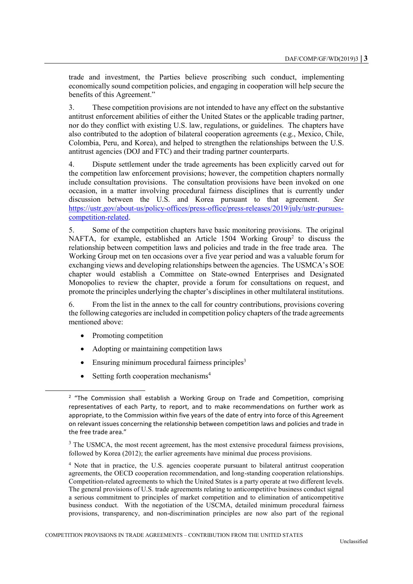trade and investment, the Parties believe proscribing such conduct, implementing economically sound competition policies, and engaging in cooperation will help secure the benefits of this Agreement."

3. These competition provisions are not intended to have any effect on the substantive antitrust enforcement abilities of either the United States or the applicable trading partner, nor do they conflict with existing U.S. law, regulations, or guidelines. The chapters have also contributed to the adoption of bilateral cooperation agreements (e.g., Mexico, Chile, Colombia, Peru, and Korea), and helped to strengthen the relationships between the U.S. antitrust agencies (DOJ and FTC) and their trading partner counterparts.

4. Dispute settlement under the trade agreements has been explicitly carved out for the competition law enforcement provisions; however, the competition chapters normally include consultation provisions. The consultation provisions have been invoked on one occasion, in a matter involving procedural fairness disciplines that is currently under discussion between the U.S. and Korea pursuant to that agreement. *See* [https://ustr.gov/about-us/policy-offices/press-office/press-releases/2019/july/ustr-pursues](https://ustr.gov/about-us/policy-offices/press-office/press-releases/2019/july/ustr-pursues-competition-related)[competition-related.](https://ustr.gov/about-us/policy-offices/press-office/press-releases/2019/july/ustr-pursues-competition-related)

5. Some of the competition chapters have basic monitoring provisions. The original NAFTA, for example, established an Article 1504 Working Group<sup>2</sup> to discuss the relationship between competition laws and policies and trade in the free trade area. The Working Group met on ten occasions over a five year period and was a valuable forum for exchanging views and developing relationships between the agencies. The USMCA's SOE chapter would establish a Committee on State-owned Enterprises and Designated Monopolies to review the chapter, provide a forum for consultations on request, and promote the principles underlying the chapter's disciplines in other multilateral institutions.

6. From the list in the annex to the call for country contributions, provisions covering the following categories are included in competition policy chapters of the trade agreements mentioned above:

Promoting competition

l

- Adopting or maintaining competition laws
- $\bullet$  Ensuring minimum procedural fairness principles<sup>3</sup>
- Setting forth cooperation mechanisms<sup>4</sup>

<sup>&</sup>lt;sup>2</sup> "The Commission shall establish a Working Group on Trade and Competition, comprising representatives of each Party, to report, and to make recommendations on further work as appropriate, to the Commission within five years of the date of entry into force of this Agreement on relevant issues concerning the relationship between competition laws and policies and trade in the free trade area."

 $3$  The USMCA, the most recent agreement, has the most extensive procedural fairness provisions, followed by Korea (2012); the earlier agreements have minimal due process provisions.

<sup>4</sup> Note that in practice, the U.S. agencies cooperate pursuant to bilateral antitrust cooperation agreements, the OECD cooperation recommendation, and long-standing cooperation relationships. Competition-related agreements to which the United States is a party operate at two different levels. The general provisions of U.S. trade agreements relating to anticompetitive business conduct signal a serious commitment to principles of market competition and to elimination of anticompetitive business conduct. With the negotiation of the USCMA, detailed minimum procedural fairness provisions, transparency, and non-discrimination principles are now also part of the regional